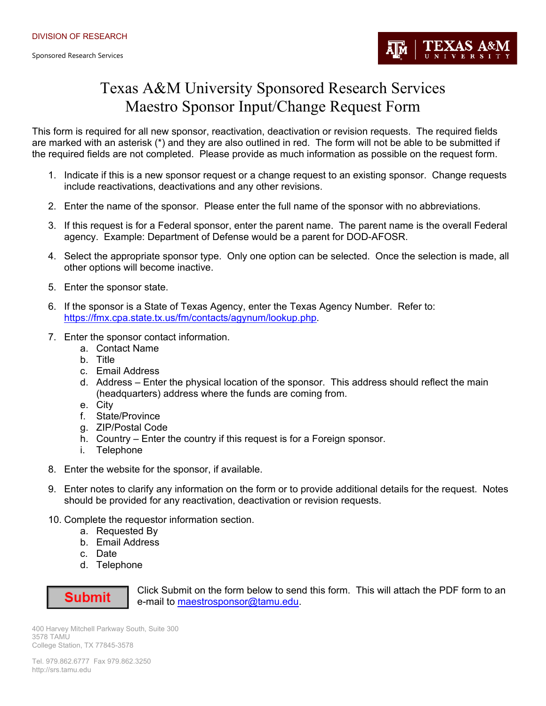

## Texas A&M University Sponsored Research Services Maestro Sponsor Input/Change Request Form

This form is required for all new sponsor, reactivation, deactivation or revision requests. The required fields are marked with an asterisk (\*) and they are also outlined in red. The form will not be able to be submitted if the required fields are not completed. Please provide as much information as possible on the request form.

- 1. Indicate if this is a new sponsor request or a change request to an existing sponsor. Change requests include reactivations, deactivations and any other revisions.
- 2. Enter the name of the sponsor. Please enter the full name of the sponsor with no abbreviations.
- 3. If this request is for a Federal sponsor, enter the parent name. The parent name is the overall Federal agency. Example: Department of Defense would be a parent for DOD-AFOSR.
- 4. Select the appropriate sponsor type. Only one option can be selected. Once the selection is made, all other options will become inactive.
- 5. Enter the sponsor state.
- 6. If the sponsor is a State of Texas Agency, enter the Texas Agency Number. Refer to: https://fmx.cpa.state.tx.us/fm/contacts/agynum/lookup.php.
- 7. Enter the sponsor contact information.
	- a. Contact Name
	- b. Title
	- c. Email Address
	- d. Address Enter the physical location of the sponsor. This address should reflect the main (headquarters) address where the funds are coming from.
	- e. City
	- f. State/Province
	- g. ZIP/Postal Code
	- h. Country Enter the country if this request is for a Foreign sponsor.
	- i. Telephone
- 8. Enter the website for the sponsor, if available.
- 9. Enter notes to clarify any information on the form or to provide additional details for the request. Notes should be provided for any reactivation, deactivation or revision requests.
- 10. Complete the requestor information section.
	- a. Requested By
	- b. Email Address
	- c. Date
	- d. Telephone



Click Submit on the form below to send this form. This will attach the PDF form to an e-mail to maestrosponsor@tamu.edu.

400 Harvey Mitchell Parkway South, Suite 300 3578 TAMU College Station, TX 77845-3578

Tel. 979.862.6777 Fax 979.862.3250 http://srs.tamu.edu